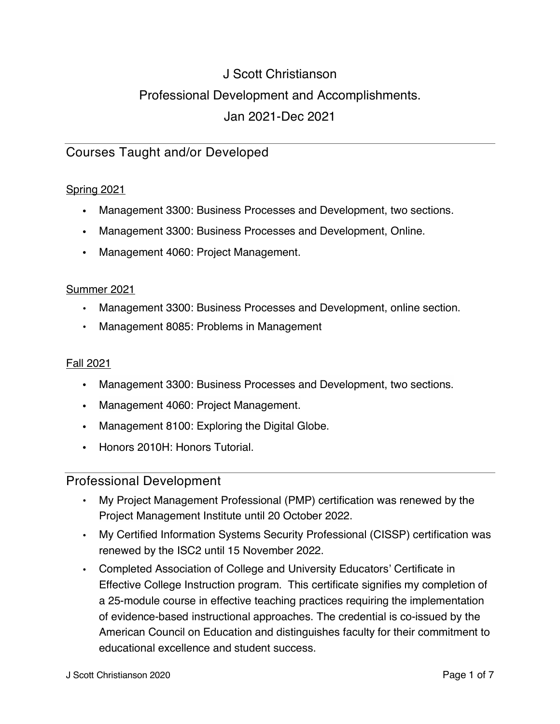# J Scott Christianson Professional Development and Accomplishments. Jan 2021-Dec 2021

# Courses Taught and/or Developed

#### Spring 2021

- . Management 3300: Business Processes and Development, two sections.
- Management 3300: Business Processes and Development, Online.
- Management 4060: Project Management.

#### Summer 2021

- Management 3300: Business Processes and Development, online section.
- Management 8085: Problems in Management

#### Fall 2021

- . Management 3300: Business Processes and Development, two sections.
- Management 4060: Project Management.
- Management 8100: Exploring the Digital Globe.
- Honors 2010H: Honors Tutorial.

#### Professional Development

- My Project Management Professional (PMP) certification was renewed by the Project Management Institute until 20 October 2022.
- My Certified Information Systems Security Professional (CISSP) certification was renewed by the ISC2 until 15 November 2022.
- Completed Association of College and University Educators' Certificate in Effective College Instruction program. This certificate signifies my completion of a 25-module course in effective teaching practices requiring the implementation of evidence-based instructional approaches. The credential is co-issued by the American Council on Education and distinguishes faculty for their commitment to educational excellence and student success.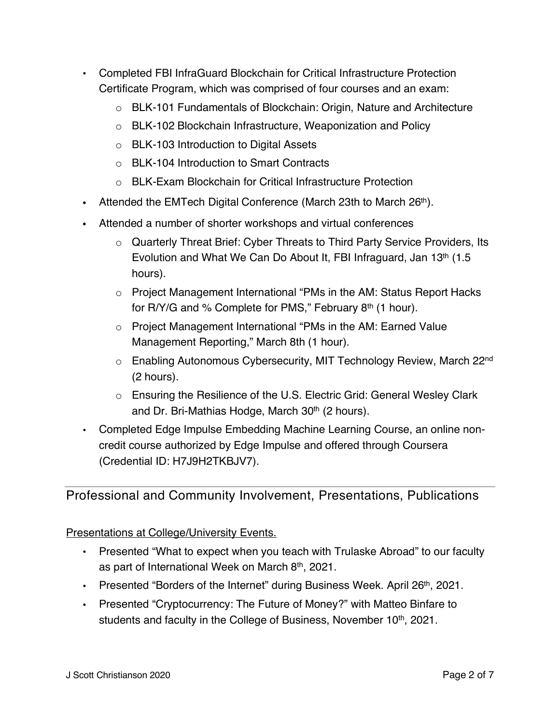- Completed FBI InfraGuard Blockchain for Critical Infrastructure Protection Certificate Program, which was comprised of four courses and an exam:
	- o BLK-101 Fundamentals of Blockchain: Origin, Nature and Architecture
	- o BLK-102 Blockchain Infrastructure, Weaponization and Policy
	- o BLK-103 Introduction to Digital Assets
	- o BLK-104 Introduction to Smart Contracts
	- o BLK-Exam Blockchain for Critical Infrastructure Protection
- Attended the EMTech Digital Conference (March 23th to March 26<sup>th</sup>).
- ! Attended a number of shorter workshops and virtual conferences
	- o Quarterly Threat Brief: Cyber Threats to Third Party Service Providers, Its Evolution and What We Can Do About It, FBI Infraguard, Jan 13<sup>th</sup> (1.5) hours).
	- o Project Management International "PMs in the AM: Status Report Hacks for R/Y/G and % Complete for PMS," February 8th (1 hour).
	- o Project Management International "PMs in the AM: Earned Value Management Reporting," March 8th (1 hour).
	- o Enabling Autonomous Cybersecurity, MIT Technology Review, March 22<sup>nd</sup> (2 hours).
	- o Ensuring the Resilience of the U.S. Electric Grid: General Wesley Clark and Dr. Bri-Mathias Hodge, March 30<sup>th</sup> (2 hours).
- Completed Edge Impulse Embedding Machine Learning Course, an online noncredit course authorized by Edge Impulse and offered through Coursera (Credential ID: H7J9H2TKBJV7).

Professional and Community Involvement, Presentations, Publications

## Presentations at College/University Events.

- Presented "What to expect when you teach with Trulaske Abroad" to our faculty as part of International Week on March 8<sup>th</sup>, 2021.
- Presented "Borders of the Internet" during Business Week. April 26<sup>th</sup>, 2021.
- Presented "Cryptocurrency: The Future of Money?" with Matteo Binfare to students and faculty in the College of Business, November 10<sup>th</sup>, 2021.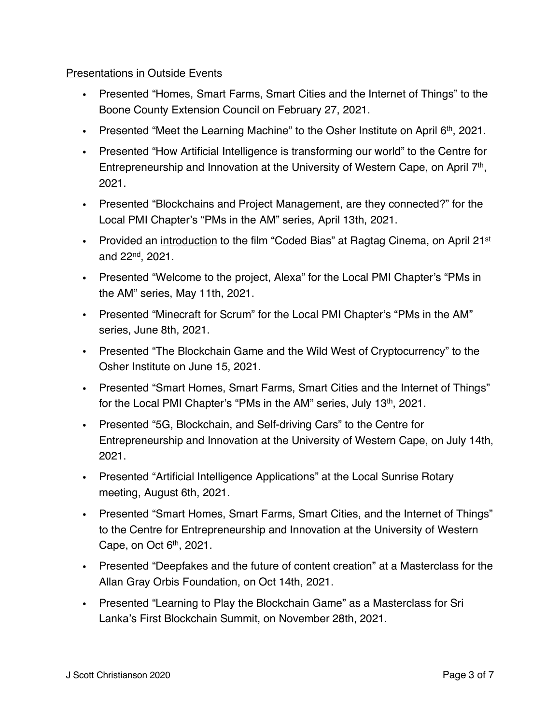#### Presentations in Outside Events

- ! Presented "Homes, Smart Farms, Smart Cities and the Internet of Things" to the Boone County Extension Council on February 27, 2021.
- Presented "Meet the Learning Machine" to the Osher Institute on April  $6<sup>th</sup>$ , 2021.
- Presented "How Artificial Intelligence is transforming our world" to the Centre for Entrepreneurship and Innovation at the University of Western Cape, on April 7<sup>th</sup>, 2021.
- ! Presented "Blockchains and Project Management, are they connected?" for the Local PMI Chapter's "PMs in the AM" series, April 13th, 2021.
- Provided an introduction to the film "Coded Bias" at Ragtag Cinema, on April 21<sup>st</sup> and 22nd, 2021.
- Presented "Welcome to the project, Alexa" for the Local PMI Chapter's "PMs in the AM" series, May 11th, 2021.
- ! Presented "Minecraft for Scrum" for the Local PMI Chapter's "PMs in the AM" series, June 8th, 2021.
- Presented "The Blockchain Game and the Wild West of Cryptocurrency" to the Osher Institute on June 15, 2021.
- ! Presented "Smart Homes, Smart Farms, Smart Cities and the Internet of Things" for the Local PMI Chapter's "PMs in the AM" series, July 13<sup>th</sup>, 2021.
- Presented "5G, Blockchain, and Self-driving Cars" to the Centre for Entrepreneurship and Innovation at the University of Western Cape, on July 14th, 2021.
- Presented "Artificial Intelligence Applications" at the Local Sunrise Rotary meeting, August 6th, 2021.
- ! Presented "Smart Homes, Smart Farms, Smart Cities, and the Internet of Things" to the Centre for Entrepreneurship and Innovation at the University of Western Cape, on Oct  $6<sup>th</sup>$ , 2021.
- ! Presented "Deepfakes and the future of content creation" at a Masterclass for the Allan Gray Orbis Foundation, on Oct 14th, 2021.
- ! Presented "Learning to Play the Blockchain Game" as a Masterclass for Sri Lanka's First Blockchain Summit, on November 28th, 2021.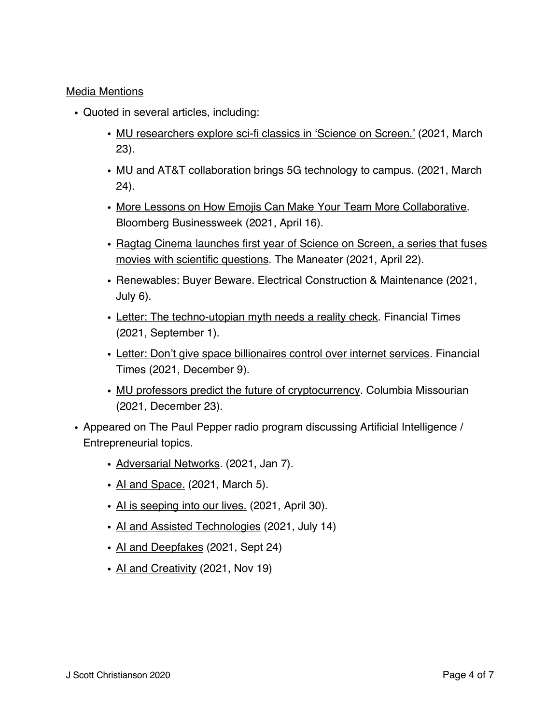#### Media Mentions

- Quoted in several articles, including:
	- . MU researchers explore sci-fi classics in 'Science on Screen.' (2021, March 23).
	- MU and AT&T collaboration brings 5G technology to campus. (2021, March 24).
	- . More Lessons on How Emojis Can Make Your Team More Collaborative. Bloomberg Businessweek (2021, April 16).
	- . Ragtag Cinema launches first year of Science on Screen, a series that fuses movies with scientific questions. The Maneater (2021, April 22).
	- ! Renewables: Buyer Beware. Electrical Construction & Maintenance (2021, July 6).
	- Letter: The techno-utopian myth needs a reality check. Financial Times (2021, September 1).
	- . Letter: Don't give space billionaires control over internet services. Financial Times (2021, December 9).
	- MU professors predict the future of cryptocurrency. Columbia Missourian (2021, December 23).
- . Appeared on The Paul Pepper radio program discussing Artificial Intelligence / Entrepreneurial topics.
	- Adversarial Networks. (2021, Jan 7).
	- AI and Space. (2021, March 5).
	- . Al is seeping into our lives. (2021, April 30).
	- . AI and Assisted Technologies (2021, July 14)
	- AI and Deepfakes (2021, Sept 24)
	- AI and Creativity (2021, Nov 19)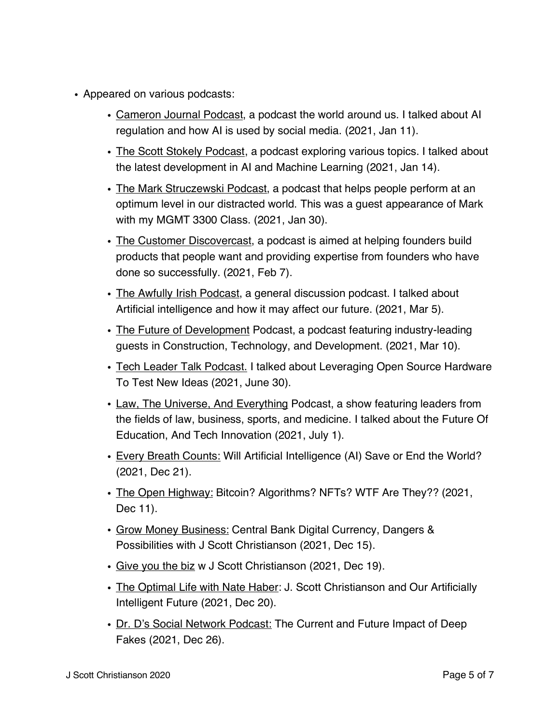- Appeared on various podcasts:
	- ! Cameron Journal Podcast, a podcast the world around us. I talked about AI regulation and how AI is used by social media. (2021, Jan 11).
	- . The Scott Stokely Podcast, a podcast exploring various topics. I talked about the latest development in AI and Machine Learning (2021, Jan 14).
	- . The Mark Struczewski Podcast, a podcast that helps people perform at an optimum level in our distracted world. This was a guest appearance of Mark with my MGMT 3300 Class. (2021, Jan 30).
	- . The Customer Discovercast, a podcast is aimed at helping founders build products that people want and providing expertise from founders who have done so successfully. (2021, Feb 7).
	- ! The Awfully Irish Podcast, a general discussion podcast. I talked about Artificial intelligence and how it may affect our future. (2021, Mar 5).
	- The Future of Development Podcast, a podcast featuring industry-leading guests in Construction, Technology, and Development. (2021, Mar 10).
	- . Tech Leader Talk Podcast. I talked about Leveraging Open Source Hardware To Test New Ideas (2021, June 30).
	- Law, The Universe, And Everything Podcast, a show featuring leaders from the fields of law, business, sports, and medicine. I talked about the Future Of Education, And Tech Innovation (2021, July 1).
	- . Every Breath Counts: Will Artificial Intelligence (AI) Save or End the World? (2021, Dec 21).
	- . The Open Highway: Bitcoin? Algorithms? NFTs? WTF Are They?? (2021, Dec 11).
	- Grow Money Business: Central Bank Digital Currency, Dangers & Possibilities with J Scott Christianson (2021, Dec 15).
	- Give you the biz w J Scott Christianson (2021, Dec 19).
	- The Optimal Life with Nate Haber: J. Scott Christianson and Our Artificially Intelligent Future (2021, Dec 20).
	- Dr. D's Social Network Podcast: The Current and Future Impact of Deep Fakes (2021, Dec 26).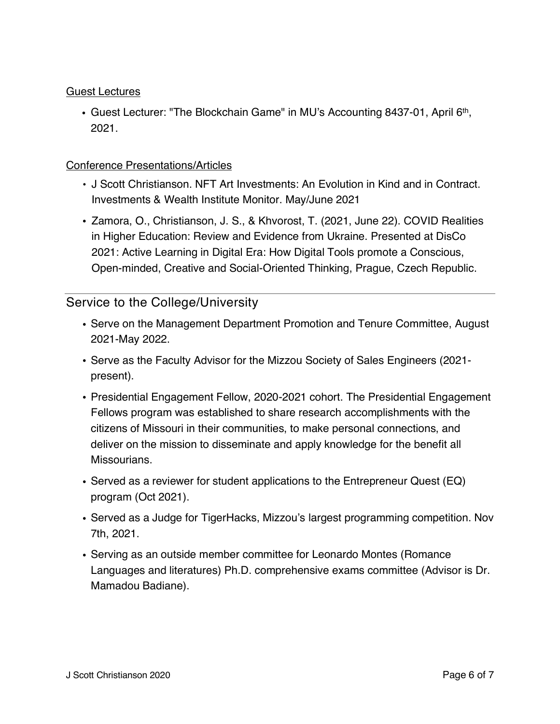#### Guest Lectures

• Guest Lecturer: "The Blockchain Game" in MU's Accounting 8437-01, April 6th, 2021.

#### Conference Presentations/Articles

- J Scott Christianson. NFT Art Investments: An Evolution in Kind and in Contract. Investments & Wealth Institute Monitor. May/June 2021
- ! Zamora, O., Christianson, J. S., & Khvorost, T. (2021, June 22). COVID Realities in Higher Education: Review and Evidence from Ukraine. Presented at DisCo 2021: Active Learning in Digital Era: How Digital Tools promote a Conscious, Open-minded, Creative and Social-Oriented Thinking, Prague, Czech Republic.

## Service to the College/University

- ! Serve on the Management Department Promotion and Tenure Committee, August 2021-May 2022.
- ! Serve as the Faculty Advisor for the Mizzou Society of Sales Engineers (2021 present).
- ! Presidential Engagement Fellow, 2020-2021 cohort. The Presidential Engagement Fellows program was established to share research accomplishments with the citizens of Missouri in their communities, to make personal connections, and deliver on the mission to disseminate and apply knowledge for the benefit all Missourians.
- ! Served as a reviewer for student applications to the Entrepreneur Quest (EQ) program (Oct 2021).
- ! Served as a Judge for TigerHacks, Mizzou's largest programming competition. Nov 7th, 2021.
- ! Serving as an outside member committee for Leonardo Montes (Romance Languages and literatures) Ph.D. comprehensive exams committee (Advisor is Dr. Mamadou Badiane).